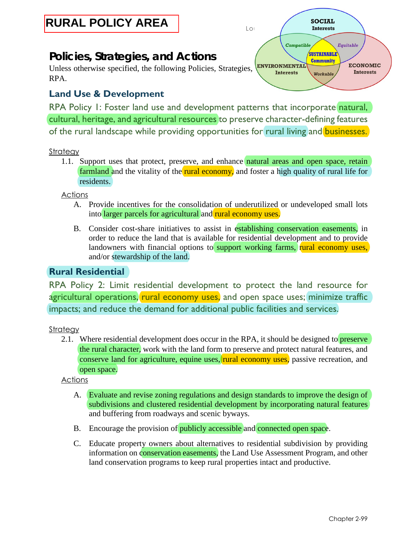## **RURAL POLICY AREA**

## **Policies, Strategies, and Actions**

Unless otherwise specified, the following Policies, Strategies, ENVIRONMENTAL ECONOMIC RPA.

## **Land Use & Development**



RPA Policy 1: Foster land use and development patterns that incorporate natural, cultural, heritage, and agricultural resources to preserve character-defining features of the rural landscape while providing opportunities for rural living and businesses.

#### **Strategy**

1.1. Support uses that protect, preserve, and enhance natural areas and open space, retain farmland and the vitality of the rural economy, and foster a high quality of rural life for residents.

Actions

- A. Provide incentives for the consolidation of underutilized or undeveloped small lots into larger parcels for agricultural and rural economy uses.
- B. Consider cost-share initiatives to assist in establishing conservation easements, in order to reduce the land that is available for residential development and to provide landowners with financial options to support working farms, rural economy uses, and/or stewardship of the land.

### **Rural Residential**

RPA Policy 2: Limit residential development to protect the land resource for agricultural operations, rural economy uses, and open space uses; minimize traffic impacts; and reduce the demand for additional public facilities and services.

Strategy

2.1. Where residential development does occur in the RPA, it should be designed to **preserve** the rural character, work with the land form to preserve and protect natural features, and conserve land for agriculture, equine uses, rural economy uses, passive recreation, and open space.

Actions

- A. Evaluate and revise zoning regulations and design standards to improve the design of subdivisions and clustered residential development by incorporating natural features and buffering from roadways and scenic byways.
- B. Encourage the provision of **publicly accessible and connected open space**.
- C. Educate property owners about alternatives to residential subdivision by providing information on conservation easements, the Land Use Assessment Program, and other land conservation programs to keep rural properties intact and productive.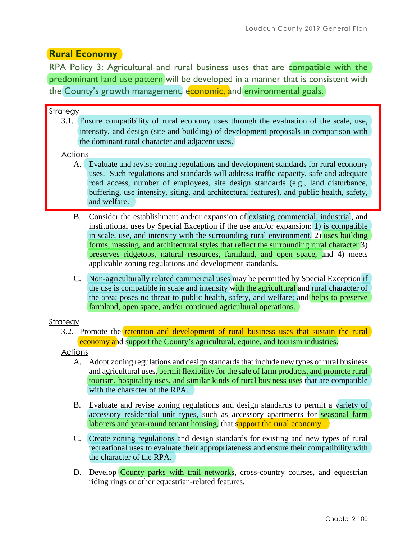#### **Rural Economy**

RPA Policy 3: Agricultural and rural business uses that are compatible with the predominant land use pattern will be developed in a manner that is consistent with the County's growth management, economic, and environmental goals.

#### **Strategy**

3.1. Ensure compatibility of rural economy uses through the evaluation of the scale, use, intensity, and design (site and building) of development proposals in comparison with the dominant rural character and adjacent uses.

#### Actions

- A. Evaluate and revise zoning regulations and development standards for rural economy uses. Such regulations and standards will address traffic capacity, safe and adequate road access, number of employees, site design standards (e.g., land disturbance, buffering, use intensity, siting, and architectural features), and public health, safety, and welfare.
- B. Consider the establishment and/or expansion of existing commercial, industrial, and institutional uses by Special Exception if the use and/or expansion: 1) is compatible in scale, use, and intensity with the surrounding rural environment, 2) uses building forms, massing, and architectural styles that reflect the surrounding rural character 3) preserves ridgetops, natural resources, farmland, and open space, and 4) meets applicable zoning regulations and development standards.
- C. Non-agriculturally related commercial uses may be permitted by Special Exception if the use is compatible in scale and intensity with the agricultural and rural character of the area; poses no threat to public health, safety, and welfare; and helps to preserve farmland, open space, and/or continued agricultural operations.

#### Strategy

3.2. Promote the retention and development of rural business uses that sustain the rural economy and support the County's agricultural, equine, and tourism industries.

Actions

- A. Adopt zoning regulations and design standards that include new types of rural business and agricultural uses, permit flexibility for the sale of farm products, and promote rural tourism, hospitality uses, and similar kinds of rural business uses that are compatible with the character of the RPA.
- B. Evaluate and revise zoning regulations and design standards to permit a variety of accessory residential unit types, such as accessory apartments for seasonal farm laborers and year-round tenant housing, that support the rural economy.
- C. Create zoning regulations and design standards for existing and new types of rural recreational uses to evaluate their appropriateness and ensure their compatibility with the character of the RPA.
- D. Develop County parks with trail networks, cross-country courses, and equestrian riding rings or other equestrian-related features.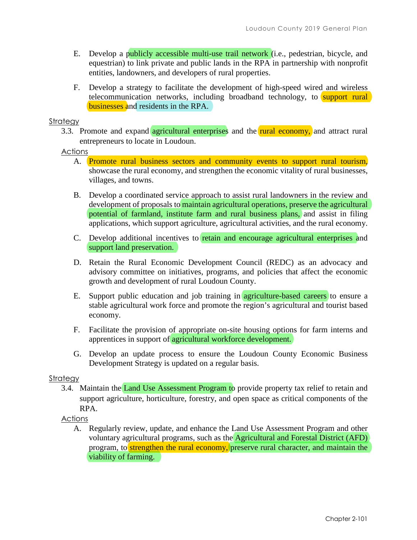- E. Develop a publicly accessible multi-use trail network (i.e., pedestrian, bicycle, and equestrian) to link private and public lands in the RPA in partnership with nonprofit entities, landowners, and developers of rural properties.
- F. Develop a strategy to facilitate the development of high-speed wired and wireless telecommunication networks, including broadband technology, to support rural businesses and residents in the RPA.

#### **Strategy**

3.3. Promote and expand agricultural enterprises and the rural economy, and attract rural entrepreneurs to locate in Loudoun.

#### Actions

- A. Promote rural business sectors and community events to support rural tourism, showcase the rural economy, and strengthen the economic vitality of rural businesses, villages, and towns.
- B. Develop a coordinated service approach to assist rural landowners in the review and development of proposals to maintain agricultural operations, preserve the agricultural potential of farmland, institute farm and rural business plans, and assist in filing applications, which support agriculture, agricultural activities, and the rural economy.
- C. Develop additional incentives to retain and encourage agricultural enterprises and support land preservation.
- D. Retain the Rural Economic Development Council (REDC) as an advocacy and advisory committee on initiatives, programs, and policies that affect the economic growth and development of rural Loudoun County.
- E. Support public education and job training in agriculture-based careers to ensure a stable agricultural work force and promote the region's agricultural and tourist based economy.
- F. Facilitate the provision of appropriate on-site housing options for farm interns and apprentices in support of agricultural workforce development.
- G. Develop an update process to ensure the Loudoun County Economic Business Development Strategy is updated on a regular basis.

#### **Strategy**

3.4. Maintain the Land Use Assessment Program to provide property tax relief to retain and support agriculture, horticulture, forestry, and open space as critical components of the RPA.

#### Actions

A. Regularly review, update, and enhance the Land Use Assessment Program and other voluntary agricultural programs, such as the Agricultural and Forestal District (AFD) program, to strengthen the rural economy, preserve rural character, and maintain the viability of farming.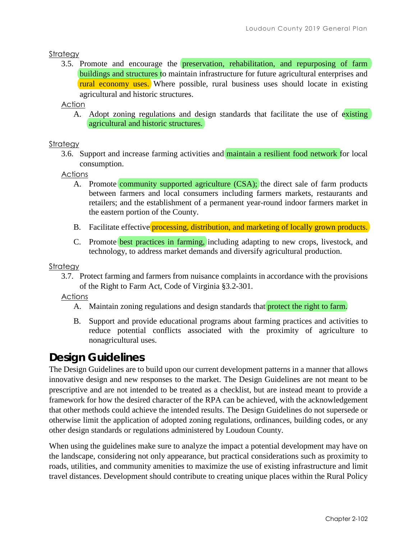#### **Strategy**

3.5. Promote and encourage the **preservation**, rehabilitation, and repurposing of farm buildings and structures to maintain infrastructure for future agricultural enterprises and rural economy uses. Where possible, rural business uses should locate in existing agricultural and historic structures.

#### Action

A. Adopt zoning regulations and design standards that facilitate the use of existing agricultural and historic structures.

#### **Strategy**

3.6. Support and increase farming activities and maintain a resilient food network for local consumption.

#### Actions

- A. Promote community supported agriculture (CSA); the direct sale of farm products between farmers and local consumers including farmers markets, restaurants and retailers; and the establishment of a permanent year-round indoor farmers market in the eastern portion of the County.
- B. Facilitate effective **processing, distribution, and marketing of locally grown products.**
- C. Promote best practices in farming, including adapting to new crops, livestock, and technology, to address market demands and diversify agricultural production.

#### Strategy

3.7. Protect farming and farmers from nuisance complaints in accordance with the provisions of the Right to Farm Act, Code of Virginia §3.2-301.

#### Actions

- A. Maintain zoning regulations and design standards that protect the right to farm.
- B. Support and provide educational programs about farming practices and activities to reduce potential conflicts associated with the proximity of agriculture to nonagricultural uses.

## **Design Guidelines**

The Design Guidelines are to build upon our current development patterns in a manner that allows innovative design and new responses to the market. The Design Guidelines are not meant to be prescriptive and are not intended to be treated as a checklist, but are instead meant to provide a framework for how the desired character of the RPA can be achieved, with the acknowledgement that other methods could achieve the intended results. The Design Guidelines do not supersede or otherwise limit the application of adopted zoning regulations, ordinances, building codes, or any other design standards or regulations administered by Loudoun County.

When using the guidelines make sure to analyze the impact a potential development may have on the landscape, considering not only appearance, but practical considerations such as proximity to roads, utilities, and community amenities to maximize the use of existing infrastructure and limit travel distances. Development should contribute to creating unique places within the Rural Policy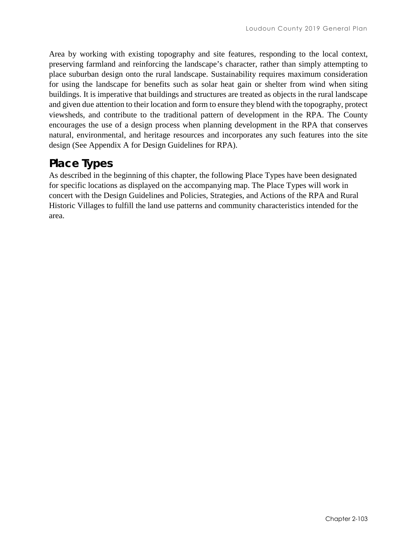Area by working with existing topography and site features, responding to the local context, preserving farmland and reinforcing the landscape's character, rather than simply attempting to place suburban design onto the rural landscape. Sustainability requires maximum consideration for using the landscape for benefits such as solar heat gain or shelter from wind when siting buildings. It is imperative that buildings and structures are treated as objects in the rural landscape and given due attention to their location and form to ensure they blend with the topography, protect viewsheds, and contribute to the traditional pattern of development in the RPA. The County encourages the use of a design process when planning development in the RPA that conserves natural, environmental, and heritage resources and incorporates any such features into the site design (See Appendix A for Design Guidelines for RPA).

## **Place Types**

As described in the beginning of this chapter, the following Place Types have been designated for specific locations as displayed on the accompanying map. The Place Types will work in concert with the Design Guidelines and Policies, Strategies, and Actions of the RPA and Rural Historic Villages to fulfill the land use patterns and community characteristics intended for the area.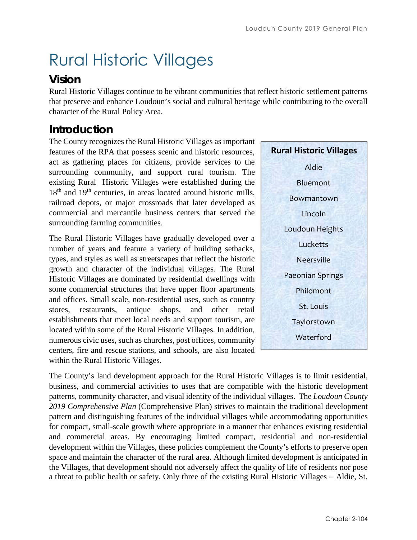# Rural Historic Villages

## **Vision**

Rural Historic Villages continue to be vibrant communities that reflect historic settlement patterns that preserve and enhance Loudoun's social and cultural heritage while contributing to the overall character of the Rural Policy Area.

## **Introduction**

The County recognizes the Rural Historic Villages as important features of the RPA that possess scenic and historic resources, act as gathering places for citizens, provide services to the surrounding community, and support rural tourism. The existing Rural Historic Villages were established during the  $18<sup>th</sup>$  and  $19<sup>th</sup>$  centuries, in areas located around historic mills, railroad depots, or major crossroads that later developed as commercial and mercantile business centers that served the surrounding farming communities.

The Rural Historic Villages have gradually developed over a number of years and feature a variety of building setbacks, types, and styles as well as streetscapes that reflect the historic growth and character of the individual villages. The Rural Historic Villages are dominated by residential dwellings with some commercial structures that have upper floor apartments and offices. Small scale, non-residential uses, such as country stores, restaurants, antique shops, and other retail establishments that meet local needs and support tourism, are located within some of the Rural Historic Villages. In addition, numerous civic uses, such as churches, post offices, community centers, fire and rescue stations, and schools, are also located within the Rural Historic Villages.

**Rural Historic Villages** Aldie Bluemont Bowmantown Lincoln Loudoun Heights **Lucketts** Neersville Paeonian Springs Philomont St. Louis **Taylorstown** Waterford

The County's land development approach for the Rural Historic Villages is to limit residential, business, and commercial activities to uses that are compatible with the historic development patterns, community character, and visual identity of the individual villages. The *Loudoun County 2019 Comprehensive Plan* (Comprehensive Plan) strives to maintain the traditional development pattern and distinguishing features of the individual villages while accommodating opportunities for compact, small-scale growth where appropriate in a manner that enhances existing residential and commercial areas. By encouraging limited compact, residential and non-residential development within the Villages, these policies complement the County's efforts to preserve open space and maintain the character of the rural area. Although limited development is anticipated in the Villages, that development should not adversely affect the quality of life of residents nor pose a threat to public health or safety. Only three of the existing Rural Historic Villages – Aldie, St.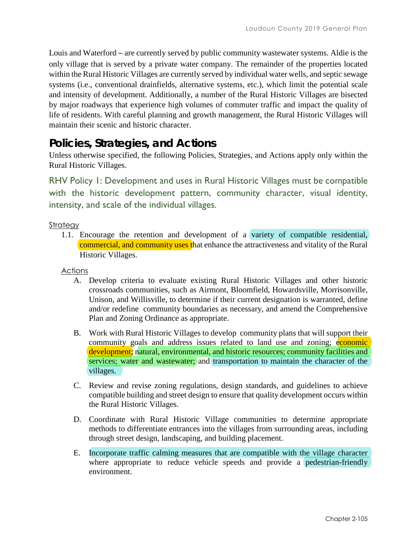Louis and Waterford – are currently served by public community wastewater systems. Aldie is the only village that is served by a private water company. The remainder of the properties located within the Rural Historic Villages are currently served by individual water wells, and septic sewage systems (i.e., conventional drainfields, alternative systems, etc.), which limit the potential scale and intensity of development. Additionally, a number of the Rural Historic Villages are bisected by major roadways that experience high volumes of commuter traffic and impact the quality of life of residents. With careful planning and growth management, the Rural Historic Villages will maintain their scenic and historic character.

## **Policies, Strategies, and Actions**

Unless otherwise specified, the following Policies, Strategies, and Actions apply only within the Rural Historic Villages.

RHV Policy 1: Development and uses in Rural Historic Villages must be compatible with the historic development pattern, community character, visual identity, intensity, and scale of the individual villages.

#### **Strategy**

1.1. Encourage the retention and development of a variety of compatible residential, commercial, and community uses that enhance the attractiveness and vitality of the Rural Historic Villages.

Actions

- A. Develop criteria to evaluate existing Rural Historic Villages and other historic crossroads communities, such as Airmont, Bloomfield, Howardsville, Morrisonville, Unison, and Willisville, to determine if their current designation is warranted, define and/or redefine community boundaries as necessary, and amend the Comprehensive Plan and Zoning Ordinance as appropriate.
- B. Work with Rural Historic Villages to develop community plans that will support their community goals and address issues related to land use and zoning; economic development; natural, environmental, and historic resources; community facilities and services; water and wastewater; and transportation to maintain the character of the villages.
- C. Review and revise zoning regulations, design standards, and guidelines to achieve compatible building and street design to ensure that quality development occurs within the Rural Historic Villages.
- D. Coordinate with Rural Historic Village communities to determine appropriate methods to differentiate entrances into the villages from surrounding areas, including through street design, landscaping, and building placement.
- E. Incorporate traffic calming measures that are compatible with the village character where appropriate to reduce vehicle speeds and provide a pedestrian-friendly environment.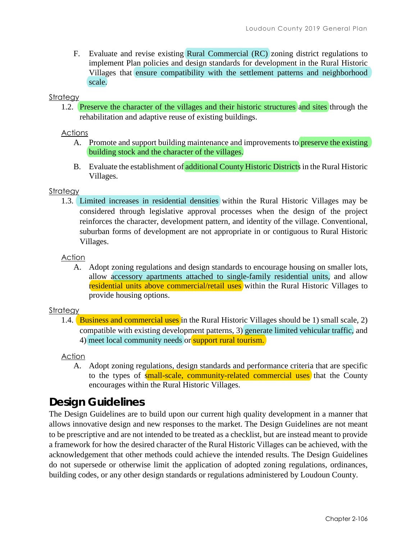F. Evaluate and revise existing Rural Commercial (RC) zoning district regulations to implement Plan policies and design standards for development in the Rural Historic Villages that ensure compatibility with the settlement patterns and neighborhood scale.

#### **Strategy**

1.2. Preserve the character of the villages and their historic structures and sites through the rehabilitation and adaptive reuse of existing buildings.

#### Actions

- A. Promote and support building maintenance and improvements to preserve the existing building stock and the character of the villages.
- B. Evaluate the establishment of additional County Historic Districts in the Rural Historic Villages.

#### **Strategy**

1.3. Limited increases in residential densities within the Rural Historic Villages may be considered through legislative approval processes when the design of the project reinforces the character, development pattern, and identity of the village. Conventional, suburban forms of development are not appropriate in or contiguous to Rural Historic Villages.

#### Action

A. Adopt zoning regulations and design standards to encourage housing on smaller lots, allow accessory apartments attached to single-family residential units, and allow residential units above commercial/retail uses within the Rural Historic Villages to provide housing options.

#### **Strategy**

1.4. Business and commercial uses in the Rural Historic Villages should be 1) small scale, 2) compatible with existing development patterns, 3) generate limited vehicular traffic, and 4) meet local community needs or support rural tourism.

#### Action

A. Adopt zoning regulations, design standards and performance criteria that are specific to the types of small-scale, community-related commercial uses that the County encourages within the Rural Historic Villages.

## **Design Guidelines**

The Design Guidelines are to build upon our current high quality development in a manner that allows innovative design and new responses to the market. The Design Guidelines are not meant to be prescriptive and are not intended to be treated as a checklist, but are instead meant to provide a framework for how the desired character of the Rural Historic Villages can be achieved, with the acknowledgement that other methods could achieve the intended results. The Design Guidelines do not supersede or otherwise limit the application of adopted zoning regulations, ordinances, building codes, or any other design standards or regulations administered by Loudoun County.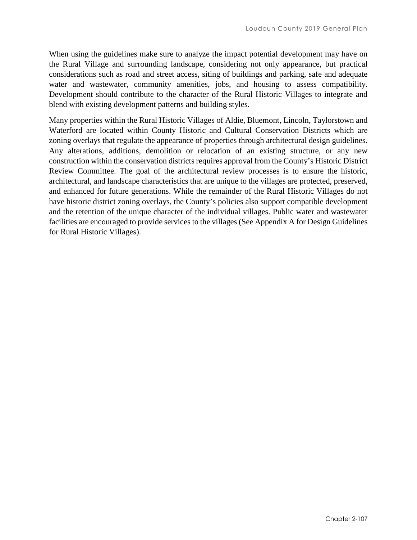When using the guidelines make sure to analyze the impact potential development may have on the Rural Village and surrounding landscape, considering not only appearance, but practical considerations such as road and street access, siting of buildings and parking, safe and adequate water and wastewater, community amenities, jobs, and housing to assess compatibility. Development should contribute to the character of the Rural Historic Villages to integrate and blend with existing development patterns and building styles.

Many properties within the Rural Historic Villages of Aldie, Bluemont, Lincoln, Taylorstown and Waterford are located within County Historic and Cultural Conservation Districts which are zoning overlays that regulate the appearance of properties through architectural design guidelines. Any alterations, additions, demolition or relocation of an existing structure, or any new construction within the conservation districts requires approval from the County's Historic District Review Committee. The goal of the architectural review processes is to ensure the historic, architectural, and landscape characteristics that are unique to the villages are protected, preserved, and enhanced for future generations. While the remainder of the Rural Historic Villages do not have historic district zoning overlays, the County's policies also support compatible development and the retention of the unique character of the individual villages. Public water and wastewater facilities are encouraged to provide services to the villages (See Appendix A for Design Guidelines for Rural Historic Villages).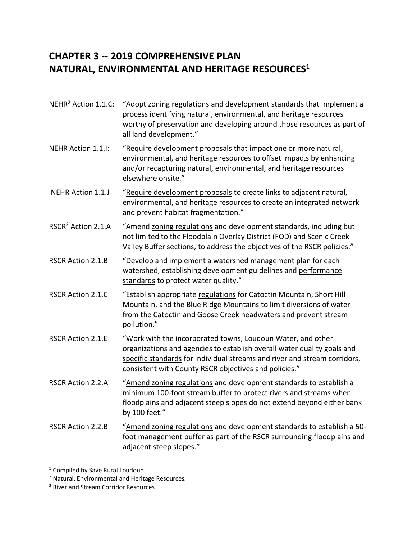## **CHAPTER 3 -- 2019 COMPREHENSIVE PLAN NATURAL, ENVIRONMENTAL AND HERITAGE RESOURCES<sup>1</sup>**

- NEHR<sup>2</sup> Action 1.1.C: "Adopt zoning regulations and development standards that implement a process identifying natural, environmental, and heritage resources worthy of preservation and developing around those resources as part of all land development."
- NEHR Action 1.1.I: "Require development proposals that impact one or more natural, environmental, and heritage resources to offset impacts by enhancing and/or recapturing natural, environmental, and heritage resources elsewhere onsite."
- NEHR Action 1.1.J "Require development proposals to create links to adjacent natural, environmental, and heritage resources to create an integrated network and prevent habitat fragmentation."
- RSCR<sup>3</sup> Action 2.1.A "Amend zoning regulations and development standards, including but not limited to the Floodplain Overlay District (FOD) and Scenic Creek Valley Buffer sections, to address the objectives of the RSCR policies."
- RSCR Action 2.1.B "Develop and implement a watershed management plan for each watershed, establishing development guidelines and performance standards to protect water quality."
- RSCR Action 2.1.C "Establish appropriate regulations for Catoctin Mountain, Short Hill Mountain, and the Blue Ridge Mountains to limit diversions of water from the Catoctin and Goose Creek headwaters and prevent stream pollution."
- RSCR Action 2.1.E "Work with the incorporated towns, Loudoun Water, and other organizations and agencies to establish overall water quality goals and specific standards for individual streams and river and stream corridors, consistent with County RSCR objectives and policies."
- RSCR Action 2.2.A "Amend zoning regulations and development standards to establish a minimum 100-foot stream buffer to protect rivers and streams when floodplains and adjacent steep slopes do not extend beyond either bank by 100 feet."
- RSCR Action 2.2.B "Amend zoning regulations and development standards to establish a 50foot management buffer as part of the RSCR surrounding floodplains and adjacent steep slopes."

<sup>1</sup> Compiled by Save Rural Loudoun

<sup>2</sup> Natural, Environmental and Heritage Resources.

<sup>&</sup>lt;sup>3</sup> River and Stream Corridor Resources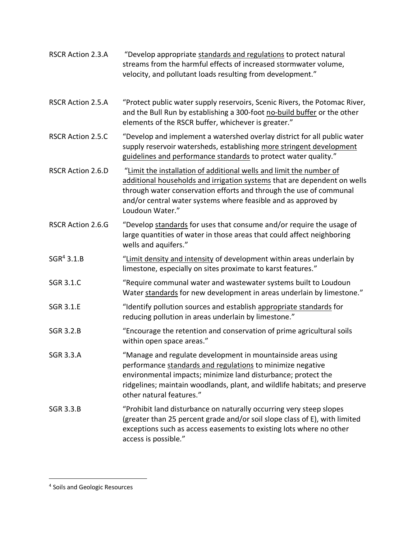| <b>RSCR Action 2.3.A</b> | "Develop appropriate standards and regulations to protect natural |
|--------------------------|-------------------------------------------------------------------|
|                          | streams from the harmful effects of increased stormwater volume,  |
|                          | velocity, and pollutant loads resulting from development."        |

RSCR Action 2.5.A "Protect public water supply reservoirs, Scenic Rivers, the Potomac River, and the Bull Run by establishing a 300-foot no-build buffer or the other elements of the RSCR buffer, whichever is greater."

RSCR Action 2.5.C "Develop and implement a watershed overlay district for all public water supply reservoir watersheds, establishing more stringent development guidelines and performance standards to protect water quality."

- RSCR Action 2.6.D "Limit the installation of additional wells and limit the number of additional households and irrigation systems that are dependent on wells through water conservation efforts and through the use of communal and/or central water systems where feasible and as approved by Loudoun Water."
- RSCR Action 2.6.G "Develop standards for uses that consume and/or require the usage of large quantities of water in those areas that could affect neighboring wells and aquifers."
- SGR<sup>4</sup> 3.1.B "Limit density and intensity of development within areas underlain by limestone, especially on sites proximate to karst features."
- SGR 3.1.C "Require communal water and wastewater systems built to Loudoun Water standards for new development in areas underlain by limestone."
- SGR 3.1.E "Identify pollution sources and establish appropriate standards for reducing pollution in areas underlain by limestone."
- SGR 3.2.B "Encourage the retention and conservation of prime agricultural soils within open space areas."
- SGR 3.3.A "Manage and regulate development in mountainside areas using performance standards and regulations to minimize negative environmental impacts; minimize land disturbance; protect the ridgelines; maintain woodlands, plant, and wildlife habitats; and preserve other natural features."
- SGR 3.3.B "Prohibit land disturbance on naturally occurring very steep slopes (greater than 25 percent grade and/or soil slope class of E), with limited exceptions such as access easements to existing lots where no other access is possible."

<sup>4</sup> Soils and Geologic Resources